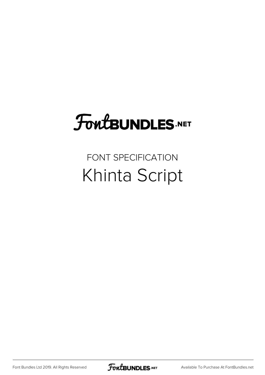## **FoutBUNDLES.NET**

## FONT SPECIFICATION Khinta Script

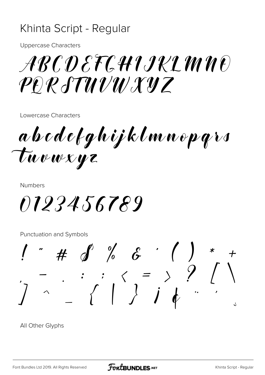## Khinta Script - Regular

**Uppercase Characters** 

## ARCDEFCHIJKLMNE PERSTUVWXYZ

Lowercase Characters

abcdefghijklmnopqrs Tuvwxyz

**Numbers** 

0123456789

Punctuation and Symbols

J

All Other Glyphs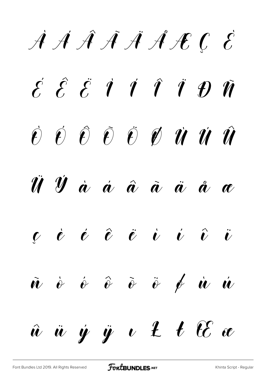À Á Â Ã Ä Å Æ Ç È  $\acute{\mathcal{E}}$   $\acute{\mathcal{E}}$   $\acute{\mathcal{E}}$   $\acute{\mathcal{I}}$   $\acute{\mathcal{I}}$   $\acute{\mathcal{I}}$   $\acute{\mathcal{I}}$   $\acute{\mathcal{I}}$   $\acute{\mathcal{V}}$   $\acute{\mathcal{V}}$  $\vec{v}$   $\acute{e}$   $\hat{e}$   $\ddot{e}$   $\vec{v}$   $\vec{v}$   $\vec{u}$   $\vec{u}$   $\hat{u}$ Ü Ý à á â ã ä å æ  $\vec{c}$   $\vec{e}$   $\vec{e}$   $\vec{e}$   $\vec{v}$   $\vec{v}$   $\vec{v}$   $\vec{v}$  $\tilde{w}$   $\dot{\theta}$   $\hat{\theta}$   $\tilde{\theta}$   $\ddot{\theta}$   $\dot{\theta}$   $\dot{\theta}$   $\dot{\theta}$   $\dot{w}$   $\dot{w}$  $\hat{u}$   $\ddot{u}$   $\dot{y}$   $\ddot{u}$   $\ddot{t}$   $\ddot{t}$   $\ddot{t}$   $\ddot{t}$   $\ddot{t}$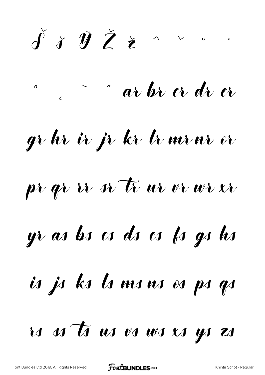$\check{\mathbf{J}}$  i  $\check{\mathbf{J}}$   $\check{\mathbf{Z}}$   $\check{\mathbf{z}}$  $\wedge$   $\vee$   $\vee$ " ar br er dr er  $\boldsymbol{o}$ gr hr ir jr kr lr mrnr er pr qr ir er tī ur vr wr xr yr as bs cs ds es fs gs hs is js ks ls ms ns es ps qs is n ts us vs ws xs ys zs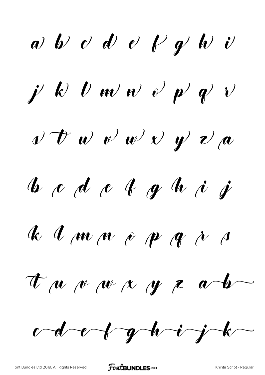$\omega$   $\nu$   $\omega$   $\omega$   $\nu$   $\nu$   $\nu$   $\nu$  $j' k' v w' w' v' p' v'$  $v$   $\vec{v}$   $w$   $\vec{v}$   $w$   $\vec{v}$   $\vec{y}$   $\vec{v}$   $\vec{a}$  $\int u \phi \phi$   $\int u \phi$   $\int u \phi$ K I m n e p g i s  $\tau$   $\mu$   $\mu$   $\mu$   $\alpha$   $\mu$   $\tau$   $\alpha$   $\rightarrow$  $\omega$ d e $\gamma$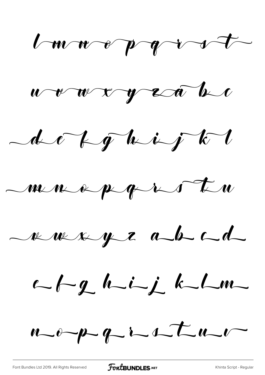l m n o p q i s t



 $-4c$  for the  $i$  of  $k$ 

 $\begin{array}{ccc} -m & \alpha & \beta & \gamma & \gamma & \gamma & \gamma \end{array}$ 

ruaye abel

 $\n -f - g h - i - j k - Lm -$ 

 $u$  opp of interval